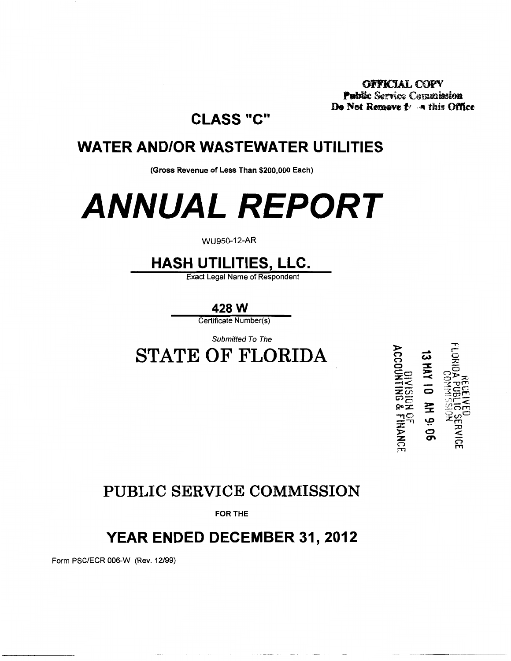**OFFICIAL COPY** Public Service Commission De Not Remove for a this Office

## **CLASS "C"**

## **WATER AND/OR WASTEWATER UTILITIES**

(Gross Revenue of Less Than \$200,000 Each)

# **ANNUAL REPORT**

#### WU950-12-AR

## **HASH UTILITIES, LLC.**

**Exact Legal Name of Respondent** 

428 W

Certificate Number(s)

Submitted To The

**STATE OF FLORIDA** 

**DIVISION OF**<br>ACCOUNTING & FINANCE AH 9:06

## PUBLIC SERVICE COMMISSION

**FOR THE** 

## YEAR ENDED DECEMBER 31, 2012

Form PSC/ECR 006-W (Rev. 12/99)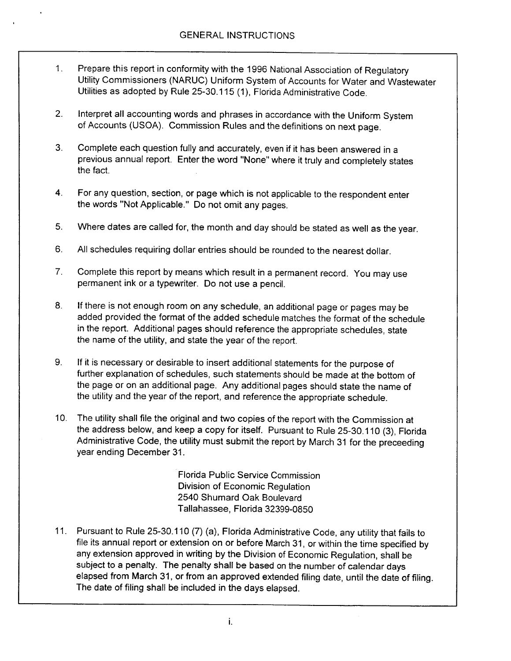- Prepare this report in conformity with the 1996 National Association of Regulatory  $\mathbf{1}$ . Utility Commissioners (NARUC) Uniform System of Accounts for Water and Wastewater Utilities as adopted by Rule 25-30.115 (1), Florida Administrative Code.
- Interpret all accounting words and phrases in accordance with the Uniform System  $2.$ of Accounts (USOA). Commission Rules and the definitions on next page.
- $3<sub>1</sub>$ Complete each question fully and accurately, even if it has been answered in a previous annual report. Enter the word "None" where it truly and completely states the fact.
- For any question, section, or page which is not applicable to the respondent enter  $4.$ the words "Not Applicable." Do not omit any pages.
- $5<sub>1</sub>$ Where dates are called for, the month and day should be stated as well as the year.
- All schedules requiring dollar entries should be rounded to the nearest dollar. 6.
- $7<sub>1</sub>$ Complete this report by means which result in a permanent record. You may use permanent ink or a typewriter. Do not use a pencil.
- If there is not enough room on any schedule, an additional page or pages may be 8. added provided the format of the added schedule matches the format of the schedule in the report. Additional pages should reference the appropriate schedules, state the name of the utility, and state the year of the report.
- If it is necessary or desirable to insert additional statements for the purpose of 9. further explanation of schedules, such statements should be made at the bottom of the page or on an additional page. Any additional pages should state the name of the utility and the year of the report, and reference the appropriate schedule.
- 10. The utility shall file the original and two copies of the report with the Commission at the address below, and keep a copy for itself. Pursuant to Rule 25-30.110 (3), Florida Administrative Code, the utility must submit the report by March 31 for the preceeding year ending December 31.

Florida Public Service Commission Division of Economic Regulation 2540 Shumard Oak Boulevard Tallahassee, Florida 32399-0850

11. Pursuant to Rule 25-30.110 (7) (a), Florida Administrative Code, any utility that fails to file its annual report or extension on or before March 31, or within the time specified by any extension approved in writing by the Division of Economic Regulation, shall be subject to a penalty. The penalty shall be based on the number of calendar days elapsed from March 31, or from an approved extended filing date, until the date of filing. The date of filing shall be included in the days elapsed.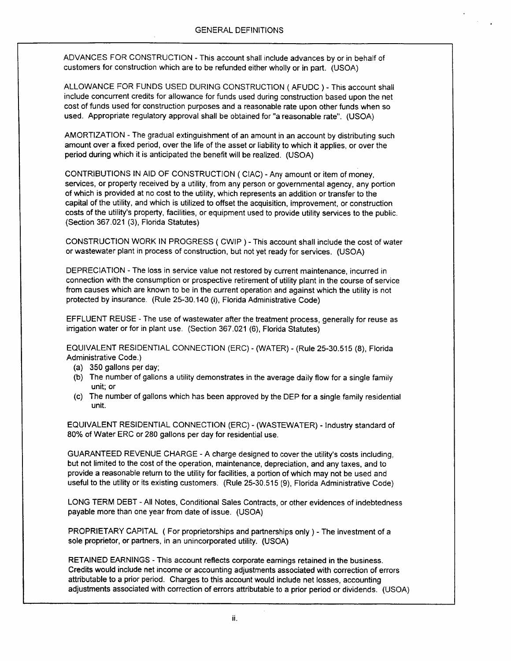ADVANCES FOR CONSTRUCTION - This account shall include advances by or in behalf of customers for construction which are to be refunded either wholly or in part. (USOA)

ALLOWANCE FOR FUNDS USED DURING CONSTRUCTION (AFUDC) - This account shall include concurrent credits for allowance for funds used during construction based upon the net cost of funds used for construction purposes and a reasonable rate upon other funds when so used. Appropriate regulatory approval shall be obtained for "a reasonable rate". (USOA)

AMORTIZATION - The gradual extinguishment of an amount in an account by distributing such amount over a fixed period, over the life of the asset or liability to which it applies, or over the period during which it is anticipated the benefit will be realized. (USOA)

CONTRIBUTIONS IN AID OF CONSTRUCTION (CIAC) - Any amount or item of money, services, or property received by a utility, from any person or governmental agency, any portion of which is provided at no cost to the utility, which represents an addition or transfer to the capital of the utility, and which is utilized to offset the acquisition, improvement, or construction costs of the utility's property, facilities, or equipment used to provide utility services to the public. (Section 367.021 (3), Florida Statutes)

CONSTRUCTION WORK IN PROGRESS (CWIP) - This account shall include the cost of water or wastewater plant in process of construction, but not yet ready for services. (USOA)

DEPRECIATION - The loss in service value not restored by current maintenance, incurred in connection with the consumption or prospective retirement of utility plant in the course of service from causes which are known to be in the current operation and against which the utility is not protected by insurance. (Rule 25-30.140 (i), Florida Administrative Code)

EFFLUENT REUSE - The use of wastewater after the treatment process, generally for reuse as irrigation water or for in plant use. (Section 367.021 (6), Florida Statutes)

EQUIVALENT RESIDENTIAL CONNECTION (ERC) - (WATER) - (Rule 25-30.515 (8), Florida Administrative Code.)

- (a) 350 gallons per day;
- (b) The number of gallons a utility demonstrates in the average daily flow for a single family unit; or
- $(c)$ The number of gallons which has been approved by the DEP for a single family residential unit.

EQUIVALENT RESIDENTIAL CONNECTION (ERC) - (WASTEWATER) - Industry standard of 80% of Water ERC or 280 gallons per day for residential use.

GUARANTEED REVENUE CHARGE - A charge designed to cover the utility's costs including, but not limited to the cost of the operation, maintenance, depreciation, and any taxes, and to provide a reasonable return to the utility for facilities, a portion of which may not be used and useful to the utility or its existing customers. (Rule 25-30.515 (9), Florida Administrative Code)

LONG TERM DEBT - All Notes, Conditional Sales Contracts, or other evidences of indebtedness payable more than one year from date of issue. (USOA)

PROPRIETARY CAPITAL (For proprietorships and partnerships only) - The investment of a sole proprietor, or partners, in an unincorporated utility. (USOA)

RETAINED EARNINGS - This account reflects corporate earnings retained in the business. Credits would include net income or accounting adjustments associated with correction of errors attributable to a prior period. Charges to this account would include net losses, accounting adjustments associated with correction of errors attributable to a prior period or dividends. (USOA)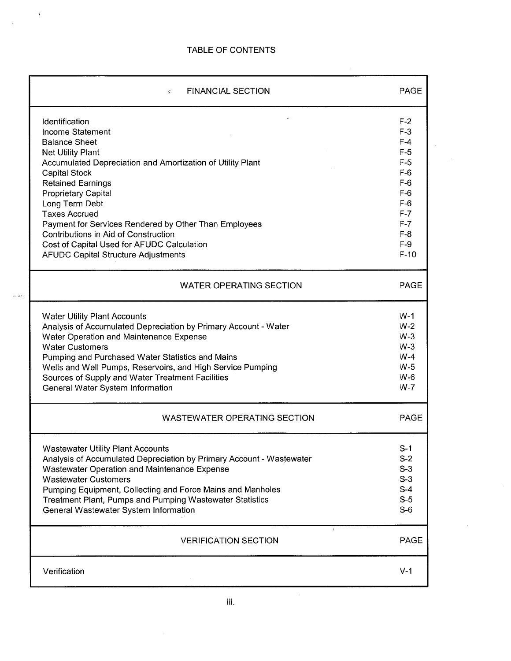$\sim$   $\sim$ 

 $\mathcal{L}$ 

 $\frac{1}{\sqrt{2}}\left( \frac{1}{\sqrt{2}}\right) \left( \frac{1}{\sqrt{2}}\right) \left( \frac{1}{\sqrt{2}}\right) \left( \frac{1}{\sqrt{2}}\right) \left( \frac{1}{\sqrt{2}}\right) \left( \frac{1}{\sqrt{2}}\right) \left( \frac{1}{\sqrt{2}}\right) \left( \frac{1}{\sqrt{2}}\right) \left( \frac{1}{\sqrt{2}}\right) \left( \frac{1}{\sqrt{2}}\right) \left( \frac{1}{\sqrt{2}}\right) \left( \frac{1}{\sqrt{2}}\right) \left( \frac{1}{\sqrt{2}}\right) \left$ 

 $\mathcal{A}^{\mathcal{A}}$ 

 $\omega_{\rm c}$  and

| <b>FINANCIAL SECTION</b><br>$\leq$                                   | <b>PAGE</b> |
|----------------------------------------------------------------------|-------------|
| Identification                                                       | $F-2$       |
| Income Statement                                                     | $F-3$       |
| <b>Balance Sheet</b>                                                 | $F-4$       |
| <b>Net Utility Plant</b>                                             | $F-5$       |
| Accumulated Depreciation and Amortization of Utility Plant           | $F-5$       |
| Capital Stock                                                        | $F-6$       |
| <b>Retained Earnings</b>                                             | $F-6$       |
| <b>Proprietary Capital</b>                                           | $F-6$       |
| Long Term Debt                                                       | $F-6$       |
| <b>Taxes Accrued</b>                                                 | $F-7$       |
| Payment for Services Rendered by Other Than Employees                | $F-7$       |
| Contributions in Aid of Construction                                 | $F-8$       |
| Cost of Capital Used for AFUDC Calculation                           | $F-9$       |
| <b>AFUDC Capital Structure Adjustments</b>                           | $F-10$      |
| <b>WATER OPERATING SECTION</b>                                       | <b>PAGE</b> |
| <b>Water Utility Plant Accounts</b>                                  | $W-1$       |
| Analysis of Accumulated Depreciation by Primary Account - Water      | $W-2$       |
| Water Operation and Maintenance Expense                              | $W-3$       |
| <b>Water Customers</b>                                               | $W-3$       |
| Pumping and Purchased Water Statistics and Mains                     | $W-4$       |
| Wells and Well Pumps, Reservoirs, and High Service Pumping           | $W-5$       |
| Sources of Supply and Water Treatment Facilities                     | $W-6$       |
| General Water System Information                                     | $W-7$       |
| <b>WASTEWATER OPERATING SECTION</b>                                  | <b>PAGE</b> |
| <b>Wastewater Utility Plant Accounts</b>                             | $S-1$       |
| Analysis of Accumulated Depreciation by Primary Account - Wastewater | $S-2$       |
| Wastewater Operation and Maintenance Expense                         | $S-3$       |
| <b>Wastewater Customers</b>                                          | $S-3$       |
| Pumping Equipment, Collecting and Force Mains and Manholes           | $S-4$       |
| Treatment Plant, Pumps and Pumping Wastewater Statistics             | $S-5$       |
| General Wastewater System Information                                | $S-6$       |
| <b>VERIFICATION SECTION</b>                                          | <b>PAGE</b> |
| Verification                                                         | $V-1$       |

 $\mathcal{L}^{\text{max}}_{\text{max}}$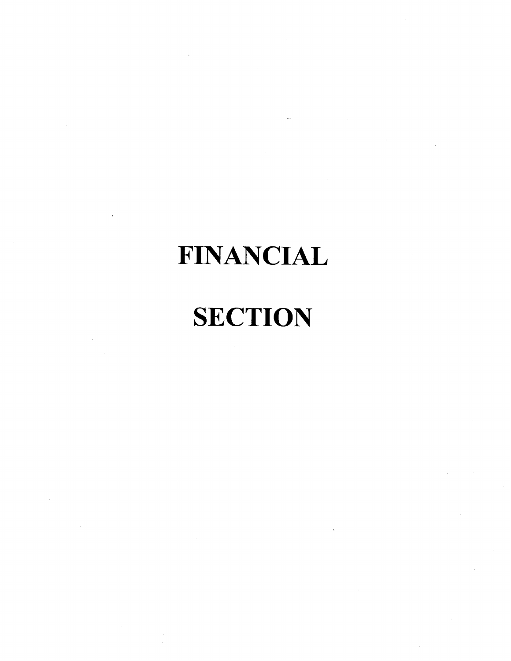# **FINANCIAL**

# **SECTION**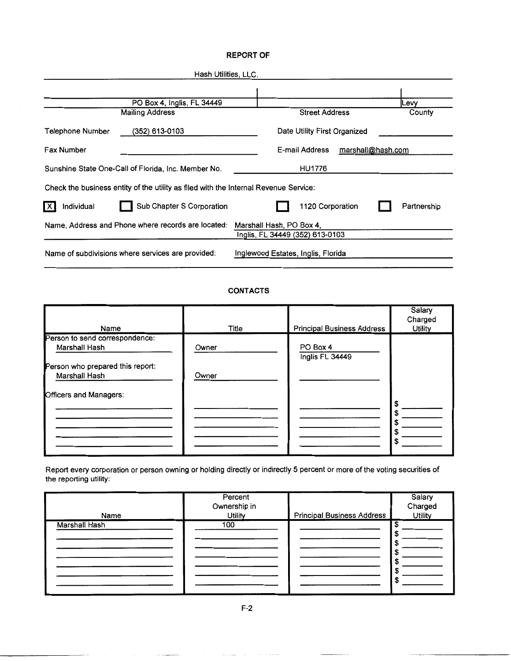#### **REPORT OF**

| Hash Utilities, LLC.                                                                 |                                                             |             |
|--------------------------------------------------------------------------------------|-------------------------------------------------------------|-------------|
|                                                                                      |                                                             |             |
| PO Box 4, Inglis, FL 34449                                                           |                                                             | <b>Levy</b> |
| <b>Mailing Address</b>                                                               | <b>Street Address</b>                                       | County      |
| (352) 613-0103<br>Telephone Number                                                   | Date Utility First Organized                                |             |
| Fax Number                                                                           | E-mail Address<br>marshall@hash.com                         |             |
| Sunshine State One-Call of Florida, Inc. Member No.                                  | <b>HU1776</b>                                               |             |
| Check the business entity of the utility as filed with the Internal Revenue Service: |                                                             |             |
| $\vert$ X<br>Sub Chapter S Corporation<br>Individual                                 | 1120 Corporation                                            | Partnership |
| Name, Address and Phone where records are located:                                   | Marshall Hash, PO Box 4,<br>Inglis, FL 34449 (352) 613-0103 |             |
| Name of subdivisions where services are provided:                                    | Inglewood Estates, Inglis, Florida                          |             |

#### **CONTACTS**

| Name                                              | Title | <b>Principal Business Address</b> | Salary<br>Charged<br><b>Utility</b> |
|---------------------------------------------------|-------|-----------------------------------|-------------------------------------|
| Person to send correspondence:<br>Marshall Hash   | Owner | PO Box 4<br>Inglis FL 34449       |                                     |
| Person who prepared this report:<br>Marshall Hash | Owner |                                   |                                     |
| Officers and Managers:                            |       |                                   | \$                                  |
|                                                   |       |                                   | \$<br>S<br>\$                       |
|                                                   |       |                                   | S                                   |

Report every corporation or person owning or holding directly or indirectly 5 percent or more of the voting securities of the reporting utility:

| Name          | Percent<br>Ownership in<br><b>Utility</b> | <b>Principal Business Address</b> | Salary<br>Charged<br><b>Utility</b> |
|---------------|-------------------------------------------|-----------------------------------|-------------------------------------|
| Marshall Hash | 100                                       |                                   |                                     |

F-2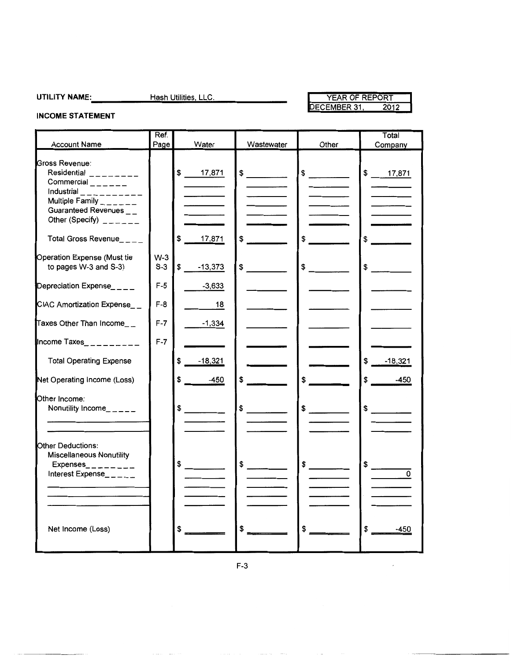### **UTILITY** NAME:-,. \_\_\_\_ ....;.H;.;;;a;;;;s;,;,h.;;;U~ti;,;,;lit;,;;;ie;,;;,s:..;, L;,;;L;,;;C;,;,. ------- YEAR OF REPORT YEAR OF REPORT<br>DECEMBER 31, 2012

 $\bar{\mathcal{L}}$ 

### **INCOME STATEMENT**

| <b>Account Name</b>                                                                                                                                                                                                                                                                             | Ref.<br>Page   | Water           | Wastewater                                                                                                                                                                                                                                                                                                                                                                                                           | Other         | Total<br>Company     |
|-------------------------------------------------------------------------------------------------------------------------------------------------------------------------------------------------------------------------------------------------------------------------------------------------|----------------|-----------------|----------------------------------------------------------------------------------------------------------------------------------------------------------------------------------------------------------------------------------------------------------------------------------------------------------------------------------------------------------------------------------------------------------------------|---------------|----------------------|
| Gross Revenue:<br>Residential $\frac{1}{2}$ = $\frac{1}{2}$ = $\frac{1}{2}$ = $\frac{1}{2}$ = $\frac{1}{2}$<br>$Commercial$ <sub>-----</sub><br>Industrial __________<br>Multiple Family $\frac{1}{2}$ = $\frac{1}{2}$ = $\frac{1}{2}$<br>Guaranteed Revenues __<br>Other (Specify) $2 - 2 - 1$ |                | \$ 17,871       | $\frac{1}{\sqrt{2}}$                                                                                                                                                                                                                                                                                                                                                                                                 | $\frac{1}{2}$ | \$ 17,871            |
| Total Gross Revenue____                                                                                                                                                                                                                                                                         |                | 17,871<br>S.    | \$<br>$\mathcal{L}^{\text{max}}_{\text{max}}$ , and $\mathcal{L}^{\text{max}}_{\text{max}}$                                                                                                                                                                                                                                                                                                                          | $\frac{1}{2}$ | \$                   |
| Operation Expense (Must tie<br>to pages W-3 and S-3)                                                                                                                                                                                                                                            | $W-3$<br>$S-3$ | \$<br>$-13,373$ | $\sim$                                                                                                                                                                                                                                                                                                                                                                                                               | \$            | \$                   |
| Depreciation Expense____                                                                                                                                                                                                                                                                        | $F-5$          | $-3,633$        |                                                                                                                                                                                                                                                                                                                                                                                                                      |               |                      |
| CIAC Amortization Expense__                                                                                                                                                                                                                                                                     | $F-8$          | 18              |                                                                                                                                                                                                                                                                                                                                                                                                                      |               |                      |
| Taxes Other Than Income_ $_{-}$                                                                                                                                                                                                                                                                 | $F-7$          | $-1,334$        |                                                                                                                                                                                                                                                                                                                                                                                                                      |               |                      |
| Income Taxes_ _ _ _ _ _ _ _ _                                                                                                                                                                                                                                                                   | $F-7$          |                 |                                                                                                                                                                                                                                                                                                                                                                                                                      |               |                      |
| <b>Total Operating Expense</b>                                                                                                                                                                                                                                                                  |                | \$<br>$-18,321$ |                                                                                                                                                                                                                                                                                                                                                                                                                      |               | $-18,321$<br>\$      |
| Net Operating Income (Loss)                                                                                                                                                                                                                                                                     |                | \$<br>$-450$    | \$                                                                                                                                                                                                                                                                                                                                                                                                                   | \$            | \$<br>-450           |
| Other Income:<br>Nonutility $b = -1$                                                                                                                                                                                                                                                            |                | $\frac{1}{2}$   | $\frac{1}{\sqrt{1-\frac{1}{2}}\sqrt{1-\frac{1}{2}}\sqrt{1-\frac{1}{2}}\sqrt{1-\frac{1}{2}}\sqrt{1-\frac{1}{2}}\sqrt{1-\frac{1}{2}}\sqrt{1-\frac{1}{2}}\sqrt{1-\frac{1}{2}}\sqrt{1-\frac{1}{2}}\sqrt{1-\frac{1}{2}}\sqrt{1-\frac{1}{2}}\sqrt{1-\frac{1}{2}}\sqrt{1-\frac{1}{2}}\sqrt{1-\frac{1}{2}}\sqrt{1-\frac{1}{2}}\sqrt{1-\frac{1}{2}}\sqrt{1-\frac{1}{2}}\sqrt{1-\frac{1}{2}}\sqrt{1-\frac{1}{2}}\sqrt{1-\frac$ | $\frac{1}{2}$ | $\frac{1}{\sqrt{2}}$ |
| Other Deductions:<br><b>Miscellaneous Nonutility</b><br>Expenses_ $-$ - $-$ - - - - -<br>Interest Expense_____                                                                                                                                                                                  |                | $\frac{1}{2}$   | $$\overline{\hspace{1.5em}}$$                                                                                                                                                                                                                                                                                                                                                                                        | $\frac{1}{2}$ | \$<br>0              |
| Net Income (Loss)                                                                                                                                                                                                                                                                               |                | \$              | \$                                                                                                                                                                                                                                                                                                                                                                                                                   | \$            | \$<br>-450           |

 $\label{eq:1.1} \alpha_{\rm{eff}}(\alpha_{\rm{eff}}) = \alpha_{\rm{eff}}(\alpha_{\rm{eff}}) = \alpha_{\rm{eff}}(\alpha_{\rm{eff}}) = \alpha_{\rm{eff}}$ 

 $\sim$ 

 $\alpha$  and  $\alpha$  . The mass  $\alpha$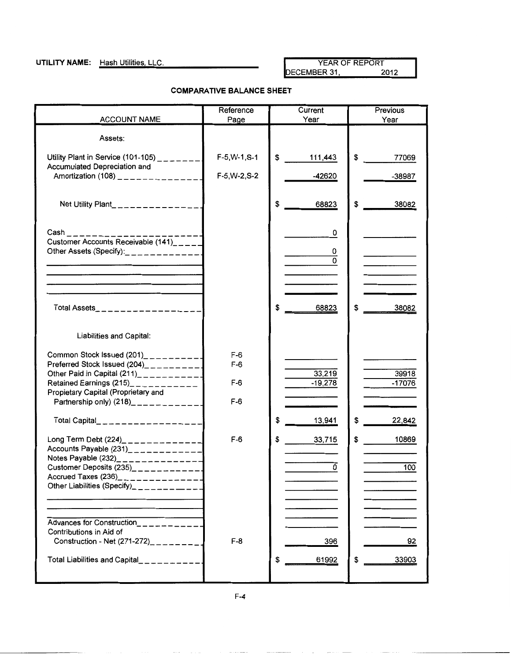**UTILITY NAME:** Hash Utilities, LLC. YEAR OF REPORT YEAR OF REPORT YEAR OF REPORT DECEMBER 31,

#### **COMPARATIVE BALANCE SHEET**

|                                                                                                                                                                                                                                                              | Reference                        | Current                  | Previous           |
|--------------------------------------------------------------------------------------------------------------------------------------------------------------------------------------------------------------------------------------------------------------|----------------------------------|--------------------------|--------------------|
| <b>ACCOUNT NAME</b>                                                                                                                                                                                                                                          | Page                             | Year                     | Year               |
| Assets:                                                                                                                                                                                                                                                      |                                  |                          |                    |
| Utility Plant in Service (101-105) $\frac{1}{2}$ = $\frac{1}{2}$ = $\frac{1}{2}$<br>Accumulated Depreciation and                                                                                                                                             | $F-5, W-1, S-1$                  | \$<br>111,443            | \$<br>77069        |
| Amortization (108) $\frac{1}{2}$ = = = = = = = = = = = = =                                                                                                                                                                                                   | F-5, W-2, S-2                    | $-42620$                 | $-38987$           |
| Net Utility Plant_______________                                                                                                                                                                                                                             |                                  | \$<br>68823              | \$<br>38082        |
| $Cash$ <sub>---------</sub><br>Customer Accounts Receivable (141) <sub>----</sub><br>Other Assets (Specify):<br>$\frac{1}{2}$                                                                                                                                |                                  | 0<br>0<br>$\overline{0}$ |                    |
| Total Assets__________________                                                                                                                                                                                                                               |                                  | \$<br>68823              | 38082<br>\$        |
| Liabilities and Capital:                                                                                                                                                                                                                                     |                                  |                          |                    |
| Common Stock Issued $(201)$ __________<br>Preferred Stock Issued $(204)$ __________<br>Other Paid in Capital $(211)$ ____________<br>Retained Earnings (215)___________<br>Propietary Capital (Proprietary and<br>Partnership only) $(218)$ ___________      | $F-6$<br>$F-6$<br>$F-6$<br>$F-6$ | 33,219<br>$-19,278$      | 39918<br>$-17076$  |
| Total Capital__________________                                                                                                                                                                                                                              |                                  | \$<br>13,941             | \$<br>22,842       |
| Long Term Debt (224)_ _ _ _ _ _ _ _ _ _ _ _ _<br>Accounts Payable $(231)$ <sub>2</sub> - - - - - - - - - - -<br>Notes Payable (232)_______________<br>Customer Deposits $(235)$ __________<br>Accrued Taxes (236)<br>Other Liabilities (Specify)____________ | $F-6$                            | \$<br>33,715<br>0        | \$<br>10869<br>100 |
| Advances for Construction__________<br>Contributions in Aid of<br>Construction - Net $(271-272)$ <sub>2</sub> <sub>2</sub> <sub>2</sub> <sub>2</sub><br>Total Liabilities and Capital___________                                                             | $F-8$                            | 396<br>61992<br>\$       | 92<br>33903<br>\$  |

F-4

 $\sim 100$  and  $\sim 100$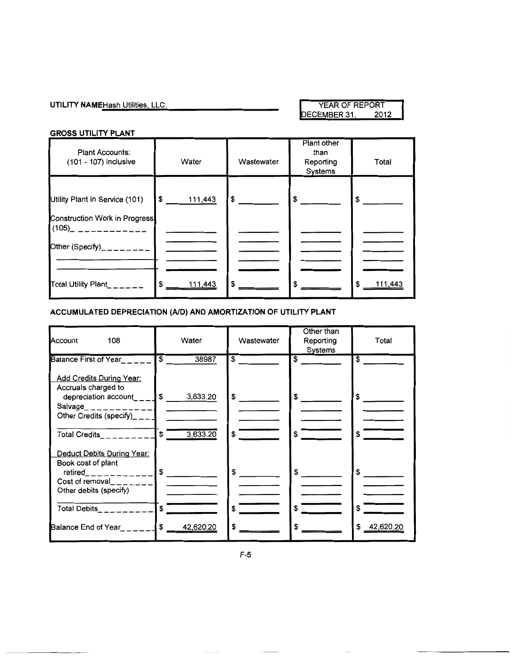### **UTILITY NAME** Hash Utilities, LLC. WEAR OF REPORT YEAR OF REPORT DECEMBER 31, 2012 DECEMBER 31,

#### **GROSS UTILITY PLANT**

| Plant Accounts:<br>(101 - 107) inclusive                               | Water         | Wastewater    | Plant other<br>than<br>Reporting<br>Systems | Total          |
|------------------------------------------------------------------------|---------------|---------------|---------------------------------------------|----------------|
| Utility Plant in Service (101)<br><b>Construction Work in Progress</b> | \$ 111,443    | $\frac{1}{2}$ | $\sim$                                      | $\frac{1}{2}$  |
| (105)_ ___________<br>Other (Specify) <sub>________</sub>              |               |               |                                             |                |
| Total Utility Plant______                                              | \$<br>111,443 | \$            |                                             | \$.<br>111,443 |

#### **ACCUMULATED DEPRECIATION (AID) AND AMORTIZATION OF UTILITY PLANT**

| Account<br>108                                                                                        | Water                            | Wastewater              | Other than<br>Reporting<br>Systems | Total           |
|-------------------------------------------------------------------------------------------------------|----------------------------------|-------------------------|------------------------------------|-----------------|
| Balance First of Year<br>Add Credits During Year:                                                     | $\overline{\mathsf{s}}$<br>38987 | $\overline{\mathbf{s}}$ | $\overline{\mathbf{s}}$            | \$              |
| Accruals charged to<br>depreciation account___<br>Salvage_____________<br>Other Credits (specify)____ | 3,633.20<br>$\mathfrak s$        | \$                      | \$                                 | \$              |
| Total Credits_________ <b>1</b> \$                                                                    | 3,633.20                         | \$                      | \$                                 | \$              |
| Deduct Debits During Year:<br>Book cost of plant<br>Cost of removal_______<br>Other debits (specify)  |                                  | $\mathbf{s}$            |                                    |                 |
| Total Debits________                                                                                  | \$                               | \$                      |                                    | \$              |
| Balance End of Year League                                                                            | \$<br>42,620.20                  | \$                      |                                    | \$<br>42.620.20 |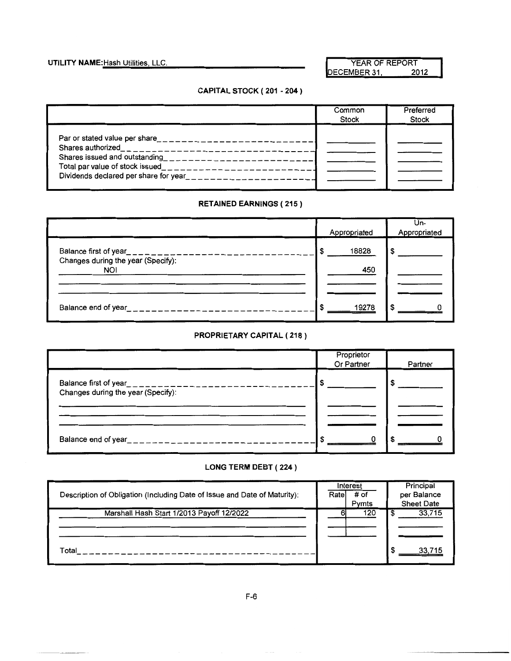**UTILITY NAME:** Hash Utilities, LLC. We have a set of the MEAR OF REPORT YEAR OF REPORT DECEMBER 31,

### **CAPITAL STOCK ( 201 - 204** )

|                                                                                                                                                                             | Common       | Preferred    |
|-----------------------------------------------------------------------------------------------------------------------------------------------------------------------------|--------------|--------------|
|                                                                                                                                                                             | <b>Stock</b> | <b>Stock</b> |
| Par or stated value per share____________________________<br>Shares issued and outstanding<br>___________________<br>Dividends declared per share for year<br>$\frac{1}{2}$ |              |              |

#### **RETAINED EARNINGS ( 215)**

|                                                                                      | Appropriated | Un-<br>Appropriated |
|--------------------------------------------------------------------------------------|--------------|---------------------|
| Balance first of year<br>$z = 1$<br>Changes during the year (Specify):<br><b>NOI</b> | 18828<br>450 |                     |
| Balance end of year<br>.                                                             | 19278        |                     |

### **PROPRIETARY CAPITAL ( 218)**

|                                                                                        | Proprietor<br>Or Partner | Partner |
|----------------------------------------------------------------------------------------|--------------------------|---------|
| Balance first of year___________________________<br>Changes during the year (Specify): | S                        |         |
|                                                                                        |                          |         |
| Balance end of year__________________                                                  | £.                       |         |

#### **LONG TERM DEBT ( 224** )

| Description of Obligation (Including Date of Issue and Date of Maturity): | Interest<br># of<br>Rate<br>Pymts | Principal<br>per Balance<br><b>Sheet Date</b> |
|---------------------------------------------------------------------------|-----------------------------------|-----------------------------------------------|
| Marshall Hash Start 1/2013 Payoff 12/2022                                 | 120                               | 33,715                                        |
| Total                                                                     |                                   |                                               |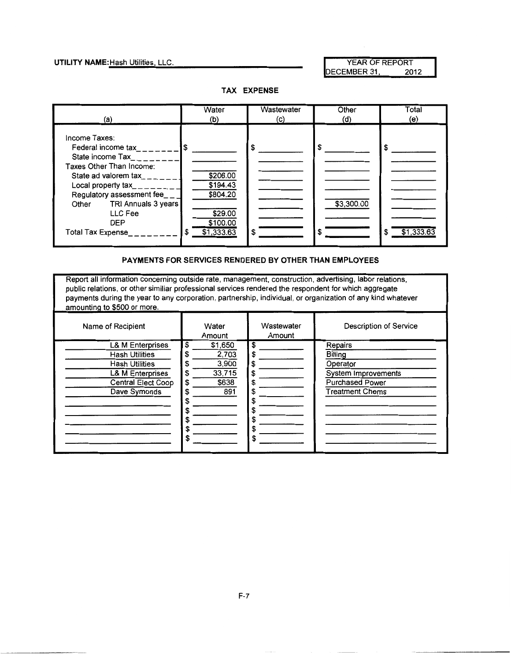**UTILITY NAME:** Hash Utilities, LLC. And the Matter of the MEAR OF REPORT The MEAR OF REPORT The Matter of the ME<br>DECEMBER 31, 2012 DECEMBER 31,

**TAX EXPENSE** 



#### **PAYMENTS FOR SERVICES RENDERED BY OTHER THAN EMPLOYEES**

Report all information concerning outside rate, management, construction, advertising, labor relations, public relations, or other similiar professional services rendered the respondent for which aggregate payments during the year to any corporation, partnership, individual, or organization of any kind whatever amounting to \$500 or more.

| Name of Recipient                                                                                                                              | Water<br>Amount                                                               | Wastewater<br>Amount                                   | Description of Service                                                                                    |
|------------------------------------------------------------------------------------------------------------------------------------------------|-------------------------------------------------------------------------------|--------------------------------------------------------|-----------------------------------------------------------------------------------------------------------|
| <b>L&amp; M Enterprises</b><br><b>Hash Utilities</b><br><b>Hash Utilities</b><br>L& M Enterprises<br><b>Central Elect Coop</b><br>Dave Symonds | \$<br>\$1,650<br>2,703<br>S<br>3,900<br>33,715<br>S<br>\$638<br>S<br>891<br>S | S<br>\$<br>\$<br>\$<br>S<br>S<br>S<br>S<br>S<br>ъ<br>S | Repairs<br>Billing<br>Operator<br>System Improvements<br><b>Purchased Power</b><br><b>Treatment Chems</b> |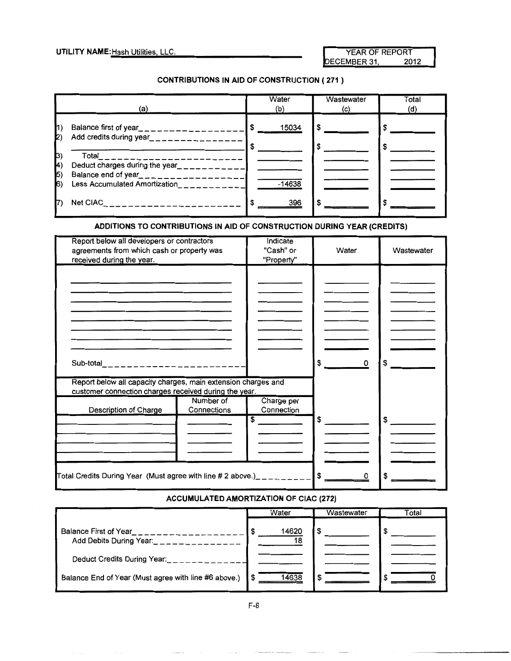#### CONTRIBUTIONS IN AID OF CONSTRUCTION ( 271 )

|                                     | (a)                                                                                                                                                         | Water<br>(b) | Wastewater<br>(c) | Total<br>(d) |
|-------------------------------------|-------------------------------------------------------------------------------------------------------------------------------------------------------------|--------------|-------------------|--------------|
| $\vert$ 1)<br>$\mathbf{Z}$          | Balance first of year___________________<br>Add credits during year__________________                                                                       | 15034<br>-S  | \$                |              |
| 3)<br>(H<br>$\vert 5 \rangle$<br>6) | Total_____________________<br>Deduct charges during the year_<br>__________<br>Balance end of year_________________<br><b>Less Accumulated Amortization</b> | $-14638$     |                   |              |
|                                     | Net CIAC_ _ _ _ _ _ _ _ _ _ _ _ _ _ _ _ _ _ _                                                                                                               | 396          |                   |              |

### ADDITIONS TO CONTRIBUTIONS IN AID OF CONSTRUCTION DURING YEAR (CREDITS)

| Report below all developers or contractors<br>agreements from which cash or property was<br>received during the year.  |             | Indicate<br>"Cash" or<br>"Property" | Water          | Wastewater |
|------------------------------------------------------------------------------------------------------------------------|-------------|-------------------------------------|----------------|------------|
|                                                                                                                        |             |                                     |                |            |
|                                                                                                                        |             |                                     |                |            |
|                                                                                                                        |             |                                     |                |            |
|                                                                                                                        |             |                                     |                |            |
|                                                                                                                        |             |                                     |                |            |
| Sub-total_______________________                                                                                       |             |                                     | \$<br>$\sim$ 0 |            |
| Report below all capacity charges, main extension charges and<br>customer connection charges received during the year. |             |                                     |                |            |
|                                                                                                                        | Number of   | Charge per                          |                |            |
| Description of Charge                                                                                                  | Connections | Connection                          |                |            |
|                                                                                                                        |             | \$                                  | \$             | \$         |
|                                                                                                                        |             |                                     |                |            |
|                                                                                                                        |             |                                     |                |            |
|                                                                                                                        |             |                                     |                |            |
|                                                                                                                        |             |                                     |                |            |
| <code>Total Credits During Year</code> (Must agree with line # 2 above.)_ _ _ _ _ _ _ _ _ _ _ S _____                  |             |                                     | 0              |            |

#### ACCUMULATED AMORTIZATION OF CIAC (272)

|                                                      | Water       | Wastewater | Total |
|------------------------------------------------------|-------------|------------|-------|
| Balance First of Year<br>Add Debits During Year:     | 14620<br>18 |            |       |
| Deduct Credits During Year:                          |             |            |       |
| Balance End of Year (Must agree with line #6 above.) | 14638       |            |       |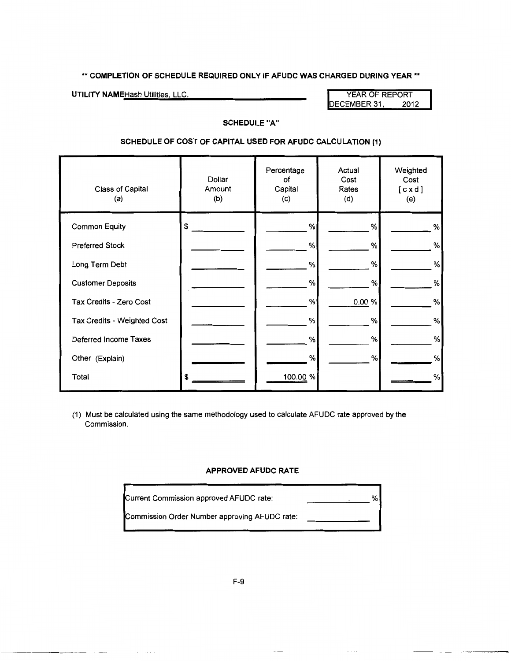#### **\*\*COMPLETION OF SCHEDULE REQUIRED ONLY IF AFUDC WAS CHARGED DURING YEAR\*\***

**UTILITY NAME** Hash Utilities, LLC. **We are all that the COVID-COVID-COVID-COVID-COVID-COVID-COVID-COVID-COVID-COVID-COVID-COVID-COVID-COVID-COVID-COVID-COVID-COVID-COVID-COVID-COVID-COVID-COVID-COVID-COVID-COVID-COVID-COV** DECEMBER 31,

#### **SCHEDULE "A"**

#### **SCHEDULE OF COST OF CAPITAL USED FOR AFUDC CALCULATION {1)**

| Class of Capital<br>(a)     | Dollar<br>Amount<br>(b) | Percentage<br>of<br>Capital<br>(c) | Actual<br>Cost<br>Rates<br>(d) | Weighted<br>Cost<br>[cxd]<br>(e) |
|-----------------------------|-------------------------|------------------------------------|--------------------------------|----------------------------------|
| <b>Common Equity</b>        | \$                      | %                                  | %                              | %                                |
| <b>Preferred Stock</b>      |                         | %                                  | %                              | $\%$                             |
| Long Term Debt              |                         | $\%$                               | %                              | $\%$                             |
| <b>Customer Deposits</b>    |                         | %                                  | %                              | %                                |
| Tax Credits - Zero Cost     |                         | %                                  | 0.00 %                         | %                                |
| Tax Credits - Weighted Cost |                         | %                                  | %                              | %                                |
| Deferred Income Taxes       |                         | %                                  | %                              | $\%$                             |
| Other (Explain)             |                         | %                                  | %                              | %                                |
| Total                       | S                       | 100.00 %                           |                                | %                                |

(1) Must be calculated using the same methodology used to calculate AFUDC rate approved by the Commission.

#### **APPROVED AFUDC RATE**

| Current Commission approved AFUDC rate:       |  | % |
|-----------------------------------------------|--|---|
| Commission Order Number approving AFUDC rate: |  |   |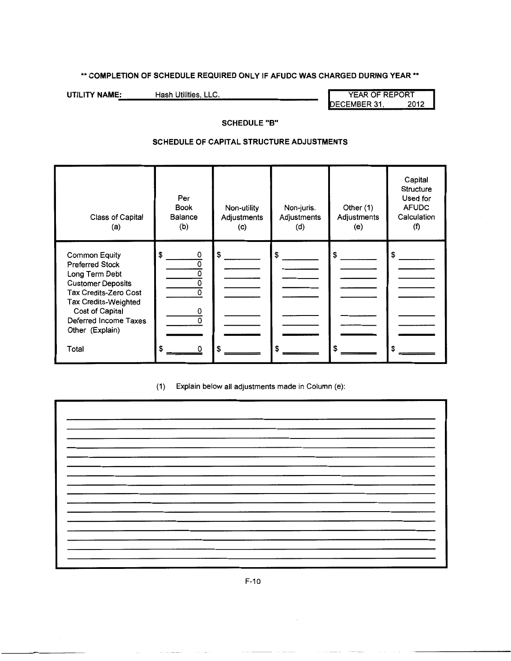### **\*\*COMPLETION OF SCHEDULE REQUIRED ONLY IF AFUDC WAS CHARGED DURING YEAR\*\***

**UTILITY NAME-.:** \_\_\_ .;.;H;,;;;a,;;,;sh~Ut•il.;.;;iti-.es•,..;;L;,;;;L;,;;;C.;... --------- YEAR OF REPORT DECEMBER 31,

#### **SCHEDULE "8"**

#### **SCHEDULE OF CAPITAL STRUCTURE ADJUSTMENTS**

| Class of Capital<br>(a)                                                                                                                                                                                                      | Per<br><b>Book</b><br><b>Balance</b><br>(b) | Non-utility<br>Adjustments<br>(c) | Non-juris.<br>Adjustments<br>(d) | Other (1)<br>Adjustments<br>(e) | Capital<br>Structure<br>Used for<br><b>AFUDC</b><br>Calculation<br>(f) |
|------------------------------------------------------------------------------------------------------------------------------------------------------------------------------------------------------------------------------|---------------------------------------------|-----------------------------------|----------------------------------|---------------------------------|------------------------------------------------------------------------|
| <b>Common Equity</b><br><b>Preferred Stock</b><br>Long Term Debt<br><b>Customer Deposits</b><br><b>Tax Credits-Zero Cost</b><br>Tax Credits-Weighted<br>Cost of Capital<br>Deferred Income Taxes<br>Other (Explain)<br>Total | \$<br>٥<br>0<br>0<br>\$                     |                                   | S<br>\$                          | S<br>\$                         | \$                                                                     |

(1) Explain below all adjustments made in Column (e):

F-10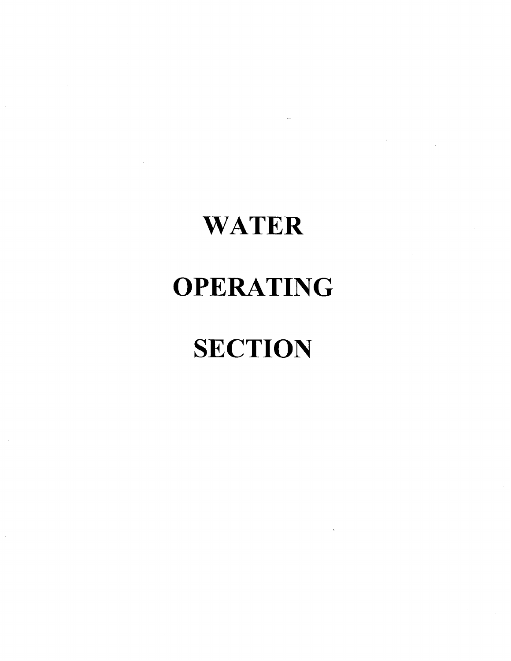# **WATER**

## **OPERATING**

# **SECTION**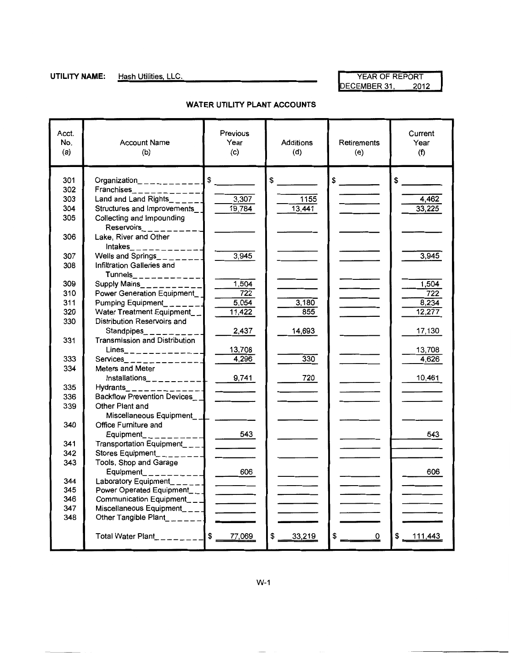**UTILITY NAME:** Hash Utilities, LLC. No. 1999 12 2012 DECEMBER 31,

| Acct.<br>No.<br>(a) | <b>Account Name</b><br>(b)                                  | Previous<br>Year<br>(c)  | <b>Additions</b><br>(d) | Retirements<br>(e)            | Current<br>Year<br>(f) |
|---------------------|-------------------------------------------------------------|--------------------------|-------------------------|-------------------------------|------------------------|
| 301                 | Organization____________                                    | $\frac{1}{2}$            | \$                      | $\frac{1}{2}$                 | $S_{-}$                |
| 302                 | $Franchises$ <sub>2</sub> - - - - - - - - - - - -           |                          |                         |                               |                        |
| 303                 | Land and Land Rights $\frac{1}{2}$                          | 3,307                    | 1155                    | <b>Contract Contract</b>      | 4,462                  |
| 304                 | Structures and Improvements                                 | 19,784                   | 13,441                  |                               | 33,225                 |
| 305                 | Collecting and Impounding                                   |                          |                         |                               |                        |
| 306                 | Lake, River and Other<br>$Intakes$ <sub>_____________</sub> |                          |                         |                               |                        |
| 307                 | Wells and Springs________                                   | 3,945                    |                         |                               | 3,945                  |
| 308                 | Infiltration Galleries and                                  |                          |                         |                               |                        |
| 309                 | Supply Mains__________                                      | 1,504                    |                         |                               | 1,504                  |
| 310                 | Power Generation Equipment                                  | 722                      |                         |                               | 722                    |
| 311                 | Pumping Equipment_______                                    | 5,054                    | 3,180                   | $\frac{1}{2}$                 | 8,234                  |
| 320                 | Water Treatment Equipment_                                  | 11,422                   | 855                     |                               | 12,277                 |
| 330                 | Distribution Reservoirs and                                 |                          |                         |                               |                        |
|                     | Standpipes <sub>-1------</sub>                              | 2,437                    | 14.693                  |                               | 17,130                 |
| 331                 | <b>Transmission and Distribution</b>                        |                          |                         |                               |                        |
|                     | $Lines$ <sub>______________</sub>                           | 13,708                   |                         |                               | 13,708                 |
| 333                 | Services_____________                                       | 4,296                    | 330                     |                               | 4,626                  |
| 334                 | Meters and Meter<br>$Instantations$ __________              |                          |                         |                               |                        |
| 335                 |                                                             | 9,741                    | 720                     |                               | 10,461                 |
| 336                 | Hydrants______________<br>Backflow Prevention Devices__     |                          |                         |                               |                        |
| 339                 | Other Plant and                                             |                          |                         |                               |                        |
|                     | Miscellaneous Equipment_ _                                  |                          |                         |                               |                        |
| 340                 | Office Furniture and                                        |                          |                         |                               |                        |
|                     | Equipment_ _ _ _ _ _ _                                      | 543                      |                         |                               | 543                    |
| 341                 | Transportation Equipment____                                |                          |                         |                               |                        |
| 342                 | Stores Equipment________                                    |                          |                         |                               |                        |
| 343                 | Tools, Shop and Garage                                      |                          |                         |                               |                        |
|                     | Equipment___________                                        |                          |                         |                               | 606                    |
| 344                 | Laboratory Equipment______]                                 |                          |                         | <b>Contract Contract</b>      |                        |
| 345                 | Power Operated Equipment___                                 |                          |                         |                               |                        |
| 346                 | Communication Equipment___                                  |                          |                         |                               |                        |
| 347<br>348          | Miscellaneous Equipment_ $_$ _ _                            |                          |                         |                               |                        |
|                     | Other Tangible Plant_______                                 | $\overline{\phantom{a}}$ |                         |                               |                        |
|                     | Total Water Plant__________ \$ 77,069                       |                          | \$33,219                | \$<br>$\overline{\mathbf{0}}$ | \$ 111,443             |

#### **WATER UTILITY PLANT ACCOUNTS**

W-1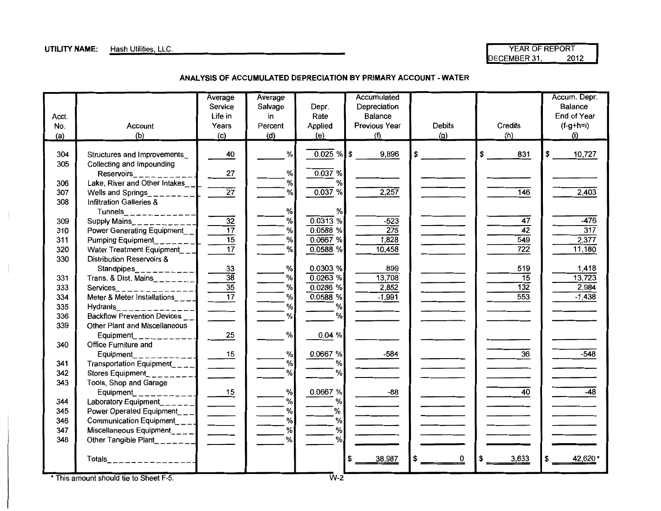### **UTILITY NAME:** Hash Utilities, LLC.

| YEAR OF REPORT |      |
|----------------|------|
| DECEMBER 31.   | 2012 |

**ANALYSIS OF ACCUMULATED DEPRECIATION BY PRIMARY ACCOUNT- WATER** 

|       |                                                                                                                 | Average<br>Service | Average<br>Salvage | Depr.                                 | Accumulated<br>Depreciation |                                                                                         |                   | Accum. Depr.<br>Balance |
|-------|-----------------------------------------------------------------------------------------------------------------|--------------------|--------------------|---------------------------------------|-----------------------------|-----------------------------------------------------------------------------------------|-------------------|-------------------------|
| Acct. |                                                                                                                 | Life in            | in                 | Rate                                  | Balance                     |                                                                                         |                   | End of Year             |
| No.   | Account                                                                                                         | Years              | Percent            | Applied                               | Previous Year               | Debits                                                                                  | <b>Credits</b>    | $(f-g+h=i)$<br>(i)      |
| (a)   | (b)                                                                                                             | (c)                | (d)                | (e)                                   | (f)                         | (g)                                                                                     | (h)               |                         |
| 304   | Structures and Improvements                                                                                     | 40                 | $\%$               | $0.025 \%$ \$                         | 9,896                       |                                                                                         | $\sqrt{3}$<br>831 | 10,727<br>\$            |
| 305   | Collecting and Impounding                                                                                       |                    |                    |                                       |                             |                                                                                         |                   |                         |
|       | Reservoirs___________                                                                                           | 27                 | $\%$               | 0.037 %                               |                             |                                                                                         |                   |                         |
| 306   | Lake, River and Other Intakes                                                                                   |                    | $\%$               | $\%$                                  |                             |                                                                                         |                   |                         |
| 307   | Wells and Springs_________                                                                                      | $\overline{27}$    | $\%$               | 0.037%                                | 2,257                       |                                                                                         | $\overline{146}$  | 2,403                   |
| 308   | Infiltration Galleries &                                                                                        |                    |                    |                                       |                             |                                                                                         |                   |                         |
|       | $Tunnels$ <sub>______________</sub>                                                                             |                    | $\%$               | $\%$                                  |                             |                                                                                         |                   |                         |
| 309   | Supply Mains____________                                                                                        | $\overline{32}$    | %                  | $0.0313$ %                            | $-523$                      |                                                                                         | $\overline{47}$   | $-476$                  |
| 310   | Power Generating Equipment__                                                                                    | $\overline{17}$    | %                  | 0.0588%                               | $\overline{275}$            |                                                                                         | $\overline{42}$   | 317                     |
| 311   | <b>Pumping Equipment</b>                                                                                        | $\overline{15}$    | %                  | 0.0667%                               | 1,828                       | $\overline{\phantom{a}}$                                                                | 549               | 2,377                   |
| 320   | Water Treatment Equipment                                                                                       | $\overline{17}$    | %                  | 0.0588%                               | 10,458                      | $\mathcal{L}^{\text{max}}_{\text{max}}$ , where $\mathcal{L}^{\text{max}}_{\text{max}}$ | $\overline{722}$  | 11,180                  |
| 330   | Distribution Reservoirs &                                                                                       |                    |                    |                                       |                             |                                                                                         |                   |                         |
|       | Standpipes_<br>--------                                                                                         | 33                 | $\%$               | 0.0303%                               | 899                         |                                                                                         | 519               | 1,418                   |
| 331   | Trans. & Dist. Mains________                                                                                    | $\overline{38}$    | $\%$               | $0.0263$ %                            | 13,708                      |                                                                                         | 15                | 13,723                  |
| 333   | Services_______________                                                                                         | $\frac{35}{17}$    | $\%$               | $0.0286$ %                            | 2,852                       |                                                                                         | $\overline{132}$  | 2,984                   |
| 334   | Meter & Meter Installations_ $\_$                                                                               |                    | $\%$               | 0.0588%                               | $-1,991$                    |                                                                                         | 553               | $-1,438$                |
| 335   | <b>Hydrants</b><br>------------                                                                                 |                    | $\%$               | %                                     |                             |                                                                                         |                   |                         |
| 336   | <b>Backflow Prevention Devices</b>                                                                              |                    | %                  | $\%$                                  |                             |                                                                                         |                   |                         |
| 339   | Other Plant and Miscellaneous                                                                                   |                    |                    |                                       |                             |                                                                                         |                   |                         |
|       | Equipment___________                                                                                            | 25                 | %                  | 0.04 %                                |                             |                                                                                         |                   |                         |
| 340   | Office Furniture and                                                                                            |                    |                    |                                       |                             |                                                                                         |                   |                         |
|       | Equipment____________                                                                                           | 15                 | %                  | 0.0667%                               | $-584$                      |                                                                                         | $\overline{36}$   | $-548$                  |
| 341   | Transportation Equipment____                                                                                    |                    | $\%$               | %                                     |                             |                                                                                         |                   |                         |
| 342   | Stores Equipment__________                                                                                      |                    | $\%$               | %                                     |                             |                                                                                         |                   |                         |
| 343   | Tools, Shop and Garage                                                                                          |                    |                    |                                       |                             |                                                                                         |                   |                         |
|       | $Equipment_{-}$                                                                                                 | $-15$              | $\%$               | 0.0667 %                              | -88                         |                                                                                         | $\overline{40}$   | $-48$                   |
| 344   |                                                                                                                 |                    | %                  | $% \mathcal{A}=\mathcal{A}^{\prime }$ |                             |                                                                                         |                   |                         |
| 345   |                                                                                                                 |                    | $\%$               | $\%$                                  |                             |                                                                                         |                   |                         |
| 346   |                                                                                                                 |                    | $\%$               | %                                     |                             |                                                                                         |                   |                         |
| 347   |                                                                                                                 |                    | $\%$               | %                                     |                             |                                                                                         |                   |                         |
| 348   | Communication Equipment<br>Miscellaneous Equipment<br>Miscellaneous Equipment<br>Other Tangible Plant<br>Totals |                    | %                  | %                                     |                             |                                                                                         |                   |                         |
|       | $Totals$ <sub>_________________</sub>                                                                           |                    |                    |                                       | 38,987<br>\$                | 0<br>\$                                                                                 | 3,633             | 42,620*                 |
|       |                                                                                                                 |                    |                    |                                       |                             |                                                                                         |                   |                         |

\* This amount should tie to Sheet F-5. W-2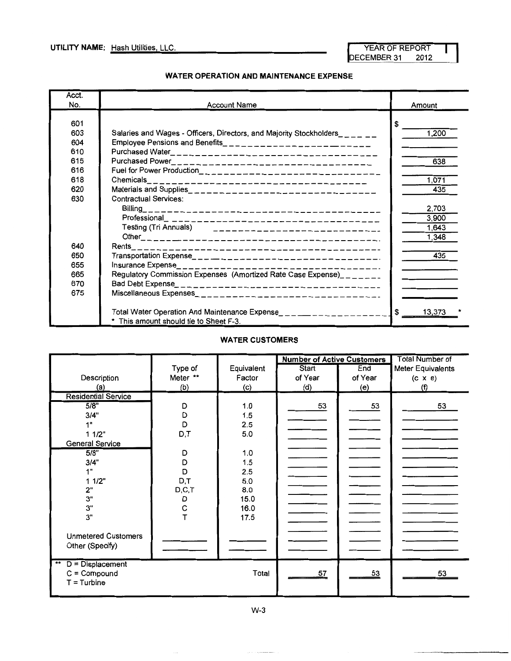#### **WATER OPERATION AND MAINTENANCE EXPENSE**

| Acct.<br>No. | <b>Account Name</b>                                                        | Amount      |
|--------------|----------------------------------------------------------------------------|-------------|
| 601          |                                                                            | S.          |
| 603          | Salaries and Wages - Officers, Directors, and Majority Stockholders_______ | 1,200       |
| 604          | Employee Pensions and Benefits___________________________                  |             |
| 610          |                                                                            |             |
| 615          |                                                                            | 638         |
| 616          | Fuel for Power Production___________________________________               |             |
| 618          | Chemicals_ $\_\_$<br>________________________________                      | 1,071       |
| 620          |                                                                            | 435         |
| 630          | <b>Contractual Services:</b>                                               |             |
|              |                                                                            | 2,703       |
|              |                                                                            | 3,900       |
|              | Testing (Tri Annuals)<br>_____________________________                     | 1,643       |
|              |                                                                            | 1,348       |
| 640          |                                                                            |             |
| 650          |                                                                            | 435         |
| 655          |                                                                            |             |
| 665          | Regulatory Commission Expenses (Amortized Rate Case Expense)________       |             |
| 670          |                                                                            |             |
| 675          |                                                                            |             |
|              |                                                                            |             |
|              | Total Water Operation And Maintenance Expense_______________________       | 13.373<br>S |
|              | * This amount should tie to Sheet F-3.                                     |             |

#### **WATER CUSTOMERS**

|                                       |          |            | <b>Number of Active Customers</b> |         | <b>Total Number of</b> |
|---------------------------------------|----------|------------|-----------------------------------|---------|------------------------|
|                                       | Type of  | Equivalent | Start                             | End     | Meter Equivalents      |
| Description                           | Meter ** | Factor     | of Year                           | of Year | $(c \times e)$         |
| (a)                                   | (b)      | (c)        | (d)                               | (e)     | (f)                    |
| <b>Residential Service</b>            |          |            |                                   |         |                        |
| 5/8"                                  | D        | 1.0        | 53                                | 53      | 53                     |
| 3/4"                                  | D        | 1.5        |                                   |         |                        |
| 1"                                    | D        | 2.5        |                                   |         |                        |
| 11/2"                                 | D,T      | 5.0        |                                   |         |                        |
| <b>General Service</b>                |          |            |                                   |         |                        |
| 5/8"                                  | D        | 1.0        |                                   |         |                        |
| 3/4"                                  | D        | 1.5        |                                   |         |                        |
| 1"                                    | D        | 2.5        |                                   |         |                        |
| 11/2"                                 | D,T      | 5.0        |                                   |         |                        |
| 2"                                    | D, C, T  | 8.0        |                                   |         |                        |
| 3"                                    | D        | 15.0       |                                   |         |                        |
| 3"                                    | С        | 16.0       |                                   |         |                        |
| 3"                                    | T        | 17.5       |                                   |         |                        |
|                                       |          |            |                                   |         |                        |
| <b>Unmetered Customers</b>            |          |            |                                   |         |                        |
| Other (Specify)                       |          |            |                                   |         |                        |
|                                       |          |            |                                   |         |                        |
| $^{\star\star}$<br>$D = Displacement$ |          |            |                                   |         |                        |
| $C = Compound$                        |          | Total      | 57                                | 53      | 53                     |
| $T =$ Turbine                         |          |            |                                   |         |                        |
|                                       |          |            |                                   |         |                        |

W-3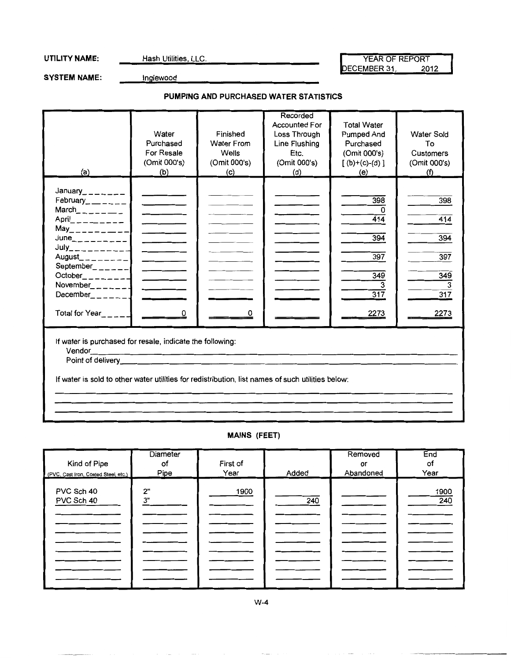SYSTEM NAME: **Inglewood** 

### **PUMPING AND PURCHASED WATER STATISTICS**

| (a)                                                                                                                                                                                                                                                                                                                                                                                                                                                                    | Water<br>Purchased<br><b>For Resale</b><br>(Omit 000's)<br>(b)                                                     | Finished<br><b>Water From</b><br>Wells<br>(Omit 000's)<br>(c) | Recorded<br><b>Accounted For</b><br>Loss Through<br>Line Flushing<br>Etc.<br>(Omit 000's)<br>(d) | <b>Total Water</b><br>Pumped And<br>Purchased<br>(Omit 000's)<br>$[(b)+(c)-(d)]$<br>(e) | <b>Water Sold</b><br>To<br>Customers<br>(Omit 000's)<br>(f) |
|------------------------------------------------------------------------------------------------------------------------------------------------------------------------------------------------------------------------------------------------------------------------------------------------------------------------------------------------------------------------------------------------------------------------------------------------------------------------|--------------------------------------------------------------------------------------------------------------------|---------------------------------------------------------------|--------------------------------------------------------------------------------------------------|-----------------------------------------------------------------------------------------|-------------------------------------------------------------|
| January_______<br>February______<br>March $---$<br>$April$ <sub>---</sub> ----<br>$May_{------}$<br>$June_{-----}$<br>$July$ _ _ _ _ _ _ _ _ _ _ _ _<br>August_________<br>September <sub>______</sub><br>$October$ <sub>________</sub><br>November $\_$ $\_$ $\_$ $\_$ $\_$ $\_$ $\_$<br>December_ _ _ _ _ _ ]<br>Total for Year_____                                                                                                                                 | and the company of the company<br><b>Contract Contract Contract</b><br>and the company<br>$\overline{\phantom{a}}$ | 0                                                             |                                                                                                  | 398<br>0<br>$\overline{414}$<br>394<br>397<br>349<br>$\overline{317}$<br>2273           | 398<br>414<br>394<br>397<br>349<br>3<br>317<br>2273         |
| If water is purchased for resale, indicate the following:<br>Vendor <b>Contract Contract Contract Contract Contract Contract Contract Contract Contract Contract Contract Contract Contract Contract Contract Contract Contract Contract Contract Contract Contract Contract Contract Contrac</b><br>Point of delivery entertainment and the contract of delivery<br>If water is sold to other water utilities for redistribution, list names of such utilities below: |                                                                                                                    |                                                               |                                                                                                  |                                                                                         |                                                             |

### **MAINS (FEET)**

| Kind of Pipe                         | <b>Diameter</b><br>of | First of |       | Removed<br>or | End<br>of   |
|--------------------------------------|-----------------------|----------|-------|---------------|-------------|
| (PVC, Cast Iron, Coated Steel, etc.) | Pipe                  | Year     | Added | Abandoned     | Year        |
| PVC Sch 40<br>PVC Sch 40             | 2"<br>3"              | 1900     | 240   |               | 1900<br>240 |
|                                      |                       |          |       |               |             |
|                                      |                       |          |       |               |             |
|                                      |                       |          |       |               |             |
|                                      |                       |          |       |               |             |
|                                      |                       |          |       |               |             |

W-4

UTILITY NAME: Hash Utilities, LLC. And The Media of REPORT DECEMBER 31, 2012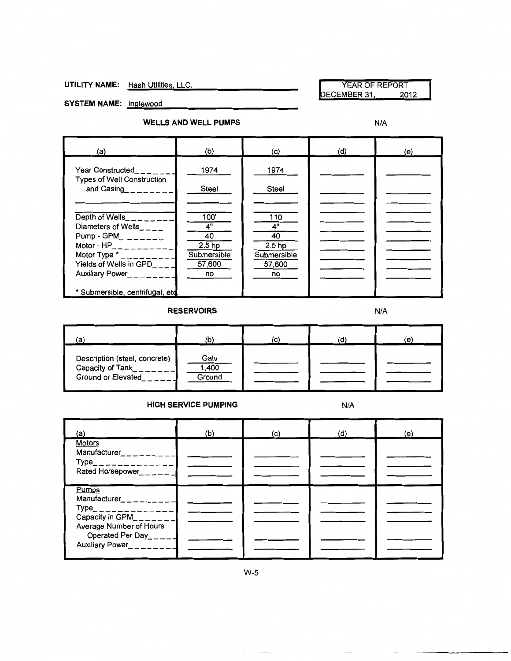**UTILITY NAME:** Hash Utilities, LLC. YEAR OF REPORT YEAR OF REPORT DECEMBER 31,

SYSTEM NAME: **Inglewood** 

#### **WELLS AND WELL PUMPS** N/A

| (a)                                                            | (b)                     | (c)                              | (d) | (e) |
|----------------------------------------------------------------|-------------------------|----------------------------------|-----|-----|
| <b>Year Constructed</b>                                        | 1974                    | 1974                             |     |     |
| <b>Types of Well Construction</b><br>and Casing                | Steel                   | Steel                            |     |     |
|                                                                |                         |                                  |     |     |
| Depth of Wells_______                                          | 100'                    | 110                              |     |     |
| Diameters of Wells____<br>Pump - GPM_ $\_\_\_$                 | 4"<br>40                | 4"<br>40                         |     |     |
| Motor - $HP_$ ________<br>Motor Type $t_{-}$ $_{---}$ $_{---}$ | $2.5$ hp<br>Submersible | 2.5 <sub>hp</sub><br>Submersible |     |     |
| Yields of Wells in GPD                                         | 57,600                  | 57,600                           |     |     |
| Auxiliary Power_____                                           | no                      | no                               |     |     |
| * Submersible, centrifugal, etd                                |                         |                                  |     |     |

**RESERVOIRS** N/A

| (a)                                                                      | (b)                     | 'c) | (d) | (e) |
|--------------------------------------------------------------------------|-------------------------|-----|-----|-----|
| Description (steel, concrete)<br>Capacity of Tank_<br>Ground or Elevated | Galv<br>1,400<br>Ground |     |     |     |

#### **HIGH SERVICE PUMPING N/A**

| (a)                                                                                                                                                                                                | (b) | $\mathcal{L}(\mathbf{C})$ | (d) | (e) |
|----------------------------------------------------------------------------------------------------------------------------------------------------------------------------------------------------|-----|---------------------------|-----|-----|
| <b>Motors</b><br>Manufacturer________<br>$Type$ <sub>______________</sub><br>Rated Horsepower______                                                                                                |     |                           |     |     |
| Pumps<br>Manufacturer_ _ _ _ _ _ _ _<br>$Type_{-}$ _ _ _ _ _ _ _ _ _ _ _ _ _<br>Capacity in $GPM$ <sub>_______</sub><br>Average Number of Hours<br>Operated Per Day_____<br>Auxiliary Power_______ |     |                           |     |     |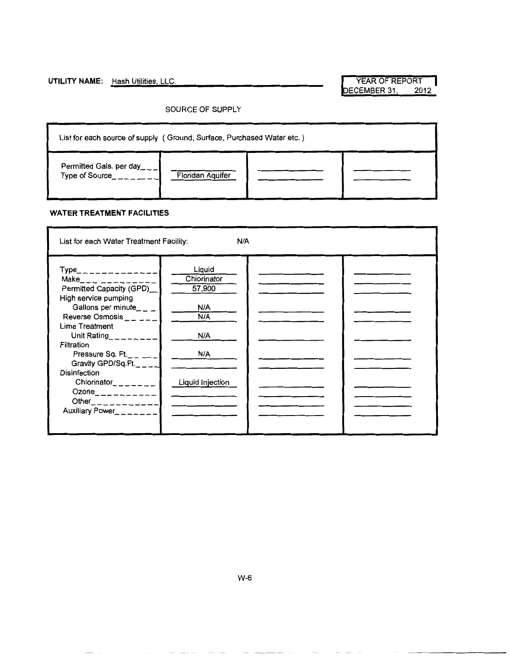### UTILITY NAME: Hash Utilities, LLC. The Management of The WEAR OF REPORT

DECEMBER 31, 2012

#### SOURCE OF SUPPLY

| List for each source of supply (Ground, Surface, Purchased Water etc.) |                  |  |  |
|------------------------------------------------------------------------|------------------|--|--|
| Permitted Gals. per day<br>Type of Source                              | Floridan Aquifer |  |  |

#### **WATER TREATMENT FACILITIES**

| List for each Water Treatment Facility:                                                                                                                                                                                                                                                                                                                                                         | N/A                                                                             |  |
|-------------------------------------------------------------------------------------------------------------------------------------------------------------------------------------------------------------------------------------------------------------------------------------------------------------------------------------------------------------------------------------------------|---------------------------------------------------------------------------------|--|
| Type_ _ _ _ _ _ _ _ _ _ _ _<br>Make___ __ ________<br>Permitted Capacity (GPD)<br>High service pumping<br>Gallons per minute_ $-$<br>Reverse Osmosis $    -$<br>Lime Treatment<br>Unit Rating <b>Unit</b><br>Filtration<br>Pressure Sq. Ft.<br>Gravity GPD/Sq.Ft.____<br><b>Disinfection</b><br>Chlorinator <sub>------</sub><br>Ozone__________<br>Other____________<br>Auxiliary Power_______ | Liquid<br>Chiorinator<br>57,900<br>N/A<br>N/A<br>N/A<br>N/A<br>Liquid Injection |  |
|                                                                                                                                                                                                                                                                                                                                                                                                 |                                                                                 |  |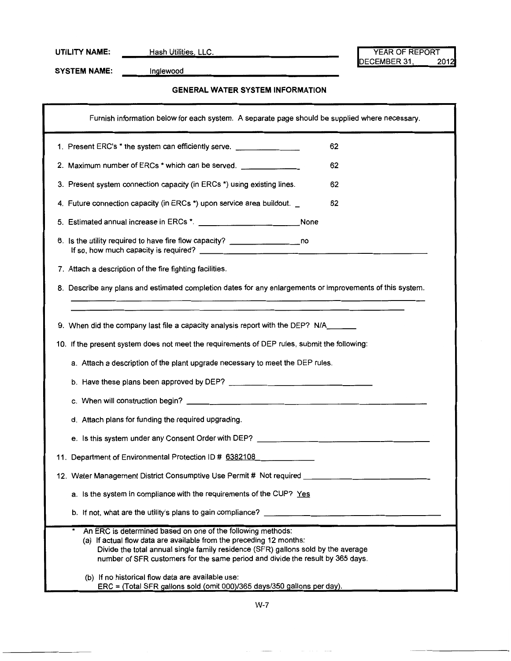**UTILITY NAME:** Hash Utilities, LLC. YEAR OF REPORT YEAR OF REPORT YEAR OF REPORT DECEMBER 31,

SYSTEM NAME: **Inglewood** 

#### **GENERAL WATER SYSTEM INFORMATION**

| Furnish information below for each system. A separate page should be supplied where necessary.                                                                                                                                                                                                            |
|-----------------------------------------------------------------------------------------------------------------------------------------------------------------------------------------------------------------------------------------------------------------------------------------------------------|
| 1. Present ERC's * the system can efficiently serve. ___________________________<br>62                                                                                                                                                                                                                    |
| 2. Maximum number of ERCs * which can be served.<br>62                                                                                                                                                                                                                                                    |
| 3. Present system connection capacity (in ERCs *) using existing lines.<br>62                                                                                                                                                                                                                             |
| 62<br>4. Future connection capacity (in ERCs *) upon service area buildout.                                                                                                                                                                                                                               |
| 5. Estimated annual increase in ERCs *. __________________________________None                                                                                                                                                                                                                            |
| 6. Is the utility required to have fire flow capacity? __________________________                                                                                                                                                                                                                         |
| 7. Attach a description of the fire fighting facilities.                                                                                                                                                                                                                                                  |
| 8. Describe any plans and estimated completion dates for any enlargements or improvements of this system.                                                                                                                                                                                                 |
|                                                                                                                                                                                                                                                                                                           |
| 9. When did the company last file a capacity analysis report with the DEP? N/A_____                                                                                                                                                                                                                       |
| 10. If the present system does not meet the requirements of DEP rules, submit the following:                                                                                                                                                                                                              |
| a. Attach a description of the plant upgrade necessary to meet the DEP rules.                                                                                                                                                                                                                             |
|                                                                                                                                                                                                                                                                                                           |
|                                                                                                                                                                                                                                                                                                           |
| d. Attach plans for funding the required upgrading.                                                                                                                                                                                                                                                       |
|                                                                                                                                                                                                                                                                                                           |
| 11. Department of Environmental Protection ID # 6382108                                                                                                                                                                                                                                                   |
| 12. Water Management District Consumptive Use Permit # Not required ___________________                                                                                                                                                                                                                   |
| a. Is the system in compliance with the requirements of the CUP? Yes                                                                                                                                                                                                                                      |
| b. If not, what are the utility's plans to gain compliance?                                                                                                                                                                                                                                               |
| An ERC is determined based on one of the following methods:<br>(a) If actual flow data are available from the preceding 12 months:<br>Divide the total annual single family residence (SFR) gallons sold by the average<br>number of SFR customers for the same period and divide the result by 365 days. |
| (b) If no historical flow data are available use:<br>ERC = (Total SFR gallons sold (omit 000)/365 days/350 gallons per day).                                                                                                                                                                              |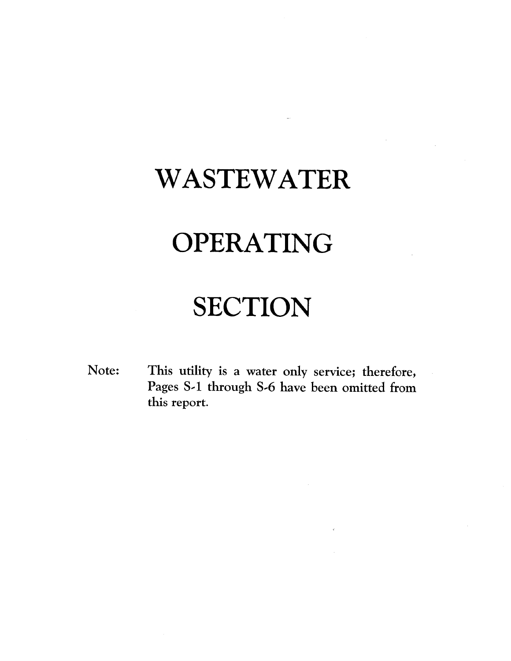## WASTEWATER

# OPERATING

## **SECTION**

This utility is a water only service; therefore, Note: Pages S-1 through S-6 have been omitted from this report.